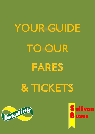# YOUR GUIDE TO OUR

FARES

# & TICKETS



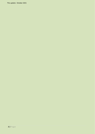This update: October 2021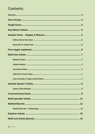# Contents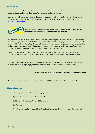# <span id="page-3-0"></span>**Welcome**

You can buy single tickets (i.e. valid for one journey) on all of our services. We also provide you with many opportunities to reduce travel costs by offering return\* and season tickets.

Look in this booklet and find the ticket that suits your needs. Details of prices for multi-use tickets can be found on page [7.](#page-6-0) If you require further information please call us on 01707 646 803 or email us at [Admin@Sullivanbuses.com.](mailto:Admin@Sullivanbuses.com)



**Sullivan Buses are members of Hertfordshire's Intalink partnership which acts to promote multimodal ticketing & County wide bus publicity.** 

Most daily & weekly tickets can be purchased from the driver using cash or card. Most of our buses accept contactless payments up to £100. With the exception of American Express, payments can be made by most credit / debit cards and Apple Pay. Occasionally due to technical reasons card payments may not be possible and we suggest customers ensure they always have cash with them, because if a bus is not fitted with Contactless card reader or the reader is faulty, the fare must be paid in cash.

Please note that we cannot accept any Oystercards, including 60+ Oystercards, ZipCards or Travelcards on our Hertfordshire services. Child fares apply from a child's fifth birthday. Age groups are shown below.

Whenever possible please have the correct fare available or your payment card as it saves time and will quicken your journey. If paying by Credit or Debit Card please advise driver BEFORE ticket is issued.

*Details contained in this document are correct at the time of publication.* 

\* = Return tickets not sold to Queens, Chancellor's, JFS, St Michaels & Nicholas Breakspear schools.

# <span id="page-3-1"></span>**Fare Groups**

Under 5 years – Free with an accompanying adult.

Aged 5 – 10 years (inclusive) half rate travel\*

11-25 years half rate travel\* with HCC Savercard.

11+ Full fare.

\* = Half fare is based on the adult fare divided by two and rounded to the nearest 10p increment.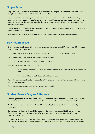# <span id="page-4-0"></span>**Single Fares**

Single fares can be purchased from the driver at time of travel, using cash or a payment card. With a few exceptions most single fares are based on distance travelled.

Routes are divided into fare stages. The fare stage includes a number of bus stops with the boundary commencing from the second stop after the previously named fare stage and ceasing at the next named fare stage. Travel beyond the farestage would be charged to the next stage and so on. For a diagram see *[Fare](#page-5-2)  [stages explained](#page-5-2)* Pag[e 6](#page-5-2)

Excess Fares are not charged – if you over travel you will be charged the normal single fare from the point at which your previous ticket expired.

You should always receive a receipt for travel and this should be retained throughout the journey.

# <span id="page-4-1"></span>**Day Return tickets**

These are purchased from the driver using cash or payment card and are valid for one outward & one return journey on the day of purchase.

Return tickets are generally calculated as follows: Single Fare + 50% rounded up to the nearest 10p.

Return tickets are not sold or available on the following services:

• 330, 331, 346, 347, 355, 356, 358, 832, 833 & B77

Not valid on the following sections of route:

- 398 between Queens School & Organ Hall (Borehamwood) or between Potters Bar & Chancellors School.
- 306A between The Avenue & Queens/St Michaels School.

Return tickets purchased from Borehamwood to Watford (but not intermediately) on route 398 can be used to return on route 306.

Return tickets purchased on route 951 can be used on route 306

# <span id="page-4-2"></span>**Student Fares – Singles & Returns**

Children aged under 5 travel free. Children aged 5-10 (inclusive) travel at half fare. Students aged 11-25 can travel at half fare\* using a valid HCC Savercard. Those aged 11+ without a Savercard are charged full fare.

\* = Half fare is based on the appropriate adult fare divided by two and rounded to the nearest 10p increment.

Savercards are available to Hertfordshire residents in full time education aged 11-25 and can be ordered from the County Councils website at: [http://www.hertsdirect.org/savercard.](http://www.hertsdirect.org/savercard) *Also see Sullivan Buses FareSaver Card pag[e 6.](#page-5-0)* 

Holders of a Savercard must place their pass on the ticket machine when requested to do so by the driver. If valid you will be able to purchase the appropriate rate single or return ticket. If you're paying by electronic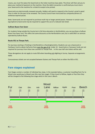means, you must first place the SaverCard on the ticket machines base plate. The driver will then ask you to place your method of payment on the machine. Once the debit transaction is confirmed you must return your Savercard to the machine for a ticket & receipt to be printed.

Savercards are electronically renewed annually. Holders will need to respond to the County's email in good time in order for the pass to be renewed. The County Council have instructed bus companies/drivers to withdraw expired passes.

Note: Savercards are not required to purchase multi-trip or longer period passes. However in certain cases (eg Explorers) Savercards may be required to support the use of a reduced rate ticket.

#### <span id="page-5-0"></span>**Sullivan Buses Fare Saver**

For students living outside the County but in full time education in Hertfordshire, you can purchase a Sullivan Buses Fare Saver card. This offers the same discounts as the Hertfordshire card, but is valid ONLY on services operated by Sullivan Buses.

#### <span id="page-5-1"></span>**Route 951 to Thorpe Park.**

For journeys starting or finishing in Hertfordshire or Buckinghamshire, Students can use a Savercard or FareSaver Card to obtain half price fares over the age of 16. Under 16 - SaverCards or Faresaver Cards are not required for journeys from these two counties to Thorpe Park. In this case half rate tickets will be sold.

These derogations do not apply to route 950 when boarding and alighting in Surrey. Separate arrangements apply.

Concessionary tickets are not accepted between Staines and Thorpe Park on either the 950 or 951.

## <span id="page-5-2"></span>**Fare stages explained**

Fare Stages contain a number of individual bus stops. In the example below, a customer travelling from Fur to Wood Lane would pay to Wood Lane (the next fare stage). If they travel to Willow, Apple or Pear then they will be charged to the following fare stage which in this case is Beech.

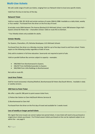# <span id="page-6-0"></span>**Multi-Use tickets**

We sell a wide range of multi-use tickets, ranging from our Network ticket to local area specific tickets.

<span id="page-6-1"></span>Valid from first bus to last bus of the day.

#### **Network Ticket**

Valid on routes 306, 951 & B3 and certain sections of routes 306A & 398#. Available as a daily ticket, weekly or four weekly~. Purchased from the driver on the first day of travel.

# excludes route 306A between The Avenue (Bushey) & St Michaels School, route 398 between Organ Hall – Queens School & Potters Bar – Chancellors School. Valid on route 951 to Denham.

<span id="page-6-2"></span>~ Four Weekly tickets only available for adults.

#### **Scholar Weekly**

For Queens, Chancellors, JFS, Nicholas Breakspear, & St Michaels Schools

Purchased from the driver on a Monday morning. Valid for up to five days travel to and from school. Tickets expire on the following Sunday regardless of date of issue.

Only sold to students in full time education. Savercards not required at point of sale.

Valid on parallel Sullivan Bus services subject to capacity – examples:

- 398/306A from Borehamwood to Queens.
- 346/347 from Ashfields/Leavesden to Queens
- 306/306A from Little Reddings to Borehamwood.

<span id="page-6-3"></span>Not sold on route B3.

#### **Local Area Tickets**

Sold for travel exclusively in Bushey/Watford, Borehamwood & Potters Bar/South Mimms. Available in daily or weekly versions.

#### <span id="page-6-4"></span>**398 Point to Point Ticket**

We offer a specific 398 point to point season ticket from;

- 1) Potters Bar Station to Clare Hall/South Mimms Services &
- 2) Borehamwood to Clare Hall

<span id="page-6-5"></span>Purchased from the driver on the first day of travel and available for 1 weeks travel.

#### **Loss of weekly or longer period tickets**

We regret that once issued, we cannot replace lost period tickets. A new ticket will need to be purchased or single/return tickets purchased. Pre-Printed season tickets purchased on-line can be replaced subject to an admin fee – see page [8.](#page-7-0)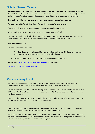# <span id="page-7-0"></span>**Scholar Season Tickets**

Term tickets sold on line from our dedicated website. Prices vary on distance. Sales commence in July for Autumn & Annual tickets, December for Spring & March for Summer tickets. Sales cease 7 days (but may be earlier for Spring Term) before school term commences and ticket sales are subject to availability.

Eventually we will be moving to electronic passes which negate the need to print passes.

Passes are posted to Parents/Guardians. We regret we cannot offer counter sales.

Please note – Drivers cannot accept photographs of passes or photocopies etc.

We can replace lost passes (subject to one per term) for an admin fee (£20).

Once the bus is full or the deadline has passed, we regret we cannot sell any further passes. Students will need to either 'pay on the day' with a supported Savercard or purchase a weekly ticket.

#### <span id="page-7-1"></span>**Season Ticket Refunds**

We offer season ticket refunds for:

- Full School Closures note this must be the entire school and not individual class or year groups (Note - the bus has to operate unless the whole school is closed).
- Change of school As a result of a pupil moving away or to another school.

Please contact [schoolpasses@sullivanbuses.com](mailto:schoolpasses@sullivanbuses.com) for full details.

[www.hertfordshireschoolservices.co.uk](http://www.hertfordshireschoolservices.co.uk/)

### <span id="page-7-2"></span>**Concessionary travel**

Holders of English National Concessionary Travel, disabled person' & Companion passes issued by Hertfordshire County Council may travel free at any time on our Hertfordshire buses^.

Passes issued by other local authorities including London Freedom passes are accepted for free travel after 9.30 am on Mondays to Fridays and at any time at weekends. 60+ Oystercards are not valid on any of our Hertfordshire buses.

Please note that concessionary passes are only valid on route 951 between Watford and Staines Station and are not valid for travel on routes 950 and 951 to Thorpe Park.

^ excludes school or other bus services which may be deemed by the local authority as out of scope (eg Special Schools or leisure service 950/951 between Staines & Thorpe Park)

Passes must be placed and held on the ticket machine until the driver advises they can be removed. Faulty passes must be reported to the issuing authority. If no pass available when boarding the bus, in line with the County Councils policy - the full appropriate fare is payable.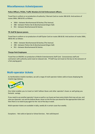# <span id="page-8-0"></span>**Miscellaneous tickets/passes**

#### **Police Officers, PCSOs, Traffic Wardens & Civil Enforcement officers.**

Travel free in uniform or on production of authority / Warrant Card on routes 306 & B3. And sections of routes 306A, 398 & 951 as follows:

- 306A between Borehamwood & Bushey (The Avenue)
- 398 between Potters Bar & Borehamwood (Organ Hall)
- 951 between Borehamwood & Staines.

#### **TfL Staff & Spouse passes.**

Travel free in uniform or on production of staff Oyster Card on routes 306 & B3. And sections of routes 306A, 398 & 951 as follows:

- 306A between Borehamwood & Bushey (The Avenue)
- 398 between Potters Bar & Borehamwood (Organ Hall)
- 951 between Borehamwood & Staines.

#### **Thorpe Park Employees**

Travel free on 950/951 on production of Merlin Entertainments Staff Card. Concessionary staff and contractors with authority cards travel at reduced rate. TP Staff may not travel on the bus to the exclusion of a fare paying guest.

# **Multi-operator tickets**

As Hertfordshire Intalink members, we sell a range of multi-operator tickets valid on buses displaying the Intalink logo (below).



One ticket enables you to travel on both Sullivan Buses and other operator's buses as well giving you fantastic savings.

If you need to use another operator's buses as well as our buses we have some ticketsthat may suit you and save you £pounds. Just ask the Sullivan Buses driver on the first bus you board forthe appropriate ticket and then there is no need to pay again for the rest of the day or week.

Multi-operator tickets are available in daily, weekly & in certain cases four weekly.

Exceptions - Not valid on Special or School Services . Not valid beyond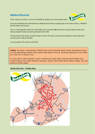# <span id="page-9-0"></span>**Watford Busnet**



'Save money on travel in and around Watford, Bushey and surrounding areas'.

If you are travelling from Little Bushey to Watford and need to change buses in the Town Centre, a Watford Busnet ticket may suit you.

This is a multi-operator ticket and will enable you to travel on **all** local buses to areas shown on the map below using the ticket you have purchased on the 306.

Purchased from the driver on the first day of travel. This ticket can also be purchased on other operators services and is valid on the 306.

It is not valid on TfL services 142 & 258.

**Validity:** The ticket is valid between Watford Town Centre & Bushey Heath, Elstree Road (Rosary Priory) on route 306 between Bushey Heath, Elstree Road (Rosary Priory) & The Avenue (Bushey) on route 306A. On route 951 to Maple Cross.

It is also valid on other operators' routes to Northwood, South Oxhey, Rickmansworth, Maple Cross, Croxley Business Park, North Watford, Leavesden, Garston, BRE, Bricket Wood, Abbots Langley. See map below for further details.

#### <span id="page-9-1"></span>**Watford Bus Net – Validity Map**

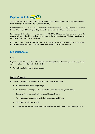# <span id="page-10-0"></span>**Explorer tickets**

These tickets are valid throughout Hertfordshire and to certain places beyond on participating operators' buses (see [http://www.intalink.org.uk/tickets/explorer\).](http://www.intalink.org.uk/tickets/explorer)) 

In addition they are also valid on the buses of both Arriva and Carousel Buses in places such as Aylesbury, Harlow, Chelmsford, Milton Keynes, High Wycombe, Oxford; Reading; Chesham and Amersham.

Purchase your Explorer ticket from the driver of our 306, 398 or B3 bus at any time and for the rest of the day or week you will be able to explore a large area until the last bus of the day. The Intalink website has full details of bus services in Hertfordshire.

For regular traveler's who use more than one bus to get to work, college or school (or maybe you are on holiday and fancy a few days out on local buses) weekly Explorer tickets are available.

# **Miscellaneous**

#### **Dogs**

Dogs are carried at the discretion of the driver\*, free of charge bus must not occupy a seat. They may be carried on either deck of a double deck vehicle.

\* = Restriction excludes blind or assistance dogs.

#### **Packages & luggage**

Packages & Luggage are carried free of charge on the following conditions:

- Must not exceed 6 feet in length/height.
- Must not have sharp edges likely to injure other customers or damage the vehicle.
- Can be carried by one able bodied person without assistance.
- Flammable or dangerous materials including explosives prohibited.
- Non folding Bicycles not carried.
- Excluding wheelchairs Mechanically self-propelled vehicles (inc e-scooters) are not permitted.